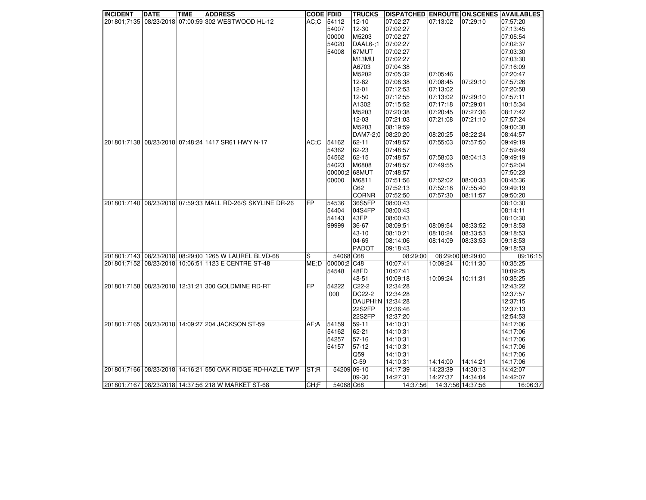| <b>INCIDENT</b> | <b>DATE</b> | <b>TIME</b> | <b>ADDRESS</b>                                             | <b>CODE FDID</b> |               | <b>TRUCKS</b>     | DISPATCHED ENROUTE ON SCENES AVAILABLES |                   |          |          |
|-----------------|-------------|-------------|------------------------------------------------------------|------------------|---------------|-------------------|-----------------------------------------|-------------------|----------|----------|
|                 |             |             | 201801;7135 08/23/2018 07:00:59 302 WESTWOOD HL-12         |                  | AC;C  54112   | $12 - 10$         | 07:02:27                                | 07:13:02          | 07:29:10 | 07:57:20 |
|                 |             |             |                                                            |                  | 54007         | 12-30             | 07:02:27                                |                   |          | 07:13:45 |
|                 |             |             |                                                            |                  | 00000         | M5203             | 07:02:27                                |                   |          | 07:05:54 |
|                 |             |             |                                                            |                  | 54020         | DAAL6-:1          | 07:02:27                                |                   |          | 07:02:37 |
|                 |             |             |                                                            |                  | 54008         | 67MUT             | 07:02:27                                |                   |          | 07:03:30 |
|                 |             |             |                                                            |                  |               | M13MU             | 07:02:27                                |                   |          | 07:03:30 |
|                 |             |             |                                                            |                  |               | A6703             | 07:04:38                                |                   |          | 07:16:09 |
|                 |             |             |                                                            |                  |               | M5202             | 07:05:32                                | 07:05:46          |          | 07:20:47 |
|                 |             |             |                                                            |                  |               | $12 - 82$         | 07:08:38                                | 07:08:45          | 07:29:10 | 07:57:26 |
|                 |             |             |                                                            |                  |               | $12 - 01$         | 07:12:53                                | 07:13:02          |          | 07:20:58 |
|                 |             |             |                                                            |                  |               | 12-50             | 07:12:55                                | 07:13:02          | 07:29:10 | 07:57:11 |
|                 |             |             |                                                            |                  |               | A1302             | 07:15:52                                | 07:17:18          | 07:29:01 | 10:15:34 |
|                 |             |             |                                                            |                  |               | M5203             | 07:20:38                                | 07:20:45          | 07:27:36 | 08:17:42 |
|                 |             |             |                                                            |                  |               | 12-03             | 07:21:03                                | 07:21:08          | 07:21:10 | 07:57:24 |
|                 |             |             |                                                            |                  |               | M5203             | 08:19:59                                |                   |          | 09:00:38 |
|                 |             |             |                                                            |                  |               | DAM7-2:0          | 08:20:20                                | 08:20:25          | 08:22:24 | 08:44:57 |
|                 |             |             | 201801;7138 08/23/2018 07:48:24 1417 SR61 HWY N-17         | AC;C             | 54162         | $62 - 11$         | 07:48:57                                | 07:55:03          | 07:57:50 | 09:49:19 |
|                 |             |             |                                                            |                  | 54362         | 62-23             | 07:48:57                                |                   |          | 07:59:49 |
|                 |             |             |                                                            |                  | 54562         | 62-15             | 07:48:57                                | 07:58:03          | 08:04:13 | 09:49:19 |
|                 |             |             |                                                            |                  | 54023         | M6808             | 07:48:57                                |                   |          | 07:52:04 |
|                 |             |             |                                                            |                  |               |                   |                                         | 07:49:55          |          |          |
|                 |             |             |                                                            |                  | 00000;2 68MUT |                   | 07:48:57                                |                   |          | 07:50:23 |
|                 |             |             |                                                            |                  | 00000         | M6811             | 07:51:56                                | 07:52:02          | 08:00:33 | 08:45:36 |
|                 |             |             |                                                            |                  |               | C62               | 07:52:13                                | 07:52:18          | 07:55:40 | 09:49:19 |
|                 |             |             |                                                            |                  |               | <b>CORNR</b>      | 07:52:50                                | 07:57:30          | 08:11:57 | 09:50:20 |
|                 |             |             | 201801;7140 08/23/2018 07:59:33 MALL RD-26/S SKYLINE DR-26 | <b>FP</b>        | 54536         | 36S5FP            | 08:00:43                                |                   |          | 08:10:30 |
|                 |             |             |                                                            |                  | 54404         | 04S4FP            | 08:00:43                                |                   |          | 08:14:11 |
|                 |             |             |                                                            |                  | 54143         | 43FP              | 08:00:43                                |                   |          | 08:10:30 |
|                 |             |             |                                                            |                  | 99999         | 36-67             | 08:09:51                                | 08:09:54          | 08:33:52 | 09:18:53 |
|                 |             |             |                                                            |                  |               | 43-10             | 08:10:21                                | 08:10:24          | 08:33:53 | 09:18:53 |
|                 |             |             |                                                            |                  |               | 04-69             | 08:14:06                                | 08:14:09          | 08:33:53 | 09:18:53 |
|                 |             |             |                                                            |                  |               | <b>PADOT</b>      | 09:18:43                                |                   |          | 09:18:53 |
|                 |             |             | 201801;7143 08/23/2018 08:29:00 1265 W LAUREL BLVD-68      | S                | 54068 C68     |                   | 08:29:00                                | 08:29:00 08:29:00 |          | 09:16:15 |
|                 |             |             | 201801;7152 08/23/2018 10:06:51 1123 E CENTRE ST-48        | ME:D             | 00000:2       | C48               | 10:07:41                                | 10:09:24          | 10:11:30 | 10:35:25 |
|                 |             |             |                                                            |                  | 54548         | 48FD              | 10:07:41                                |                   |          | 10:09:25 |
|                 |             |             |                                                            |                  |               | 48-51             | 10:09:18                                | 10:09:24          | 10:11:31 | 10:35:25 |
|                 |             |             | 201801;7158 08/23/2018 12:31:21 300 GOLDMINE RD-RT         | FP               | 54222         | $C22-2$           | 12:34:28                                |                   |          | 12:43:22 |
|                 |             |             |                                                            |                  | 000           | DC22-2            | 12:34:28                                |                   |          | 12:37:57 |
|                 |             |             |                                                            |                  |               | DAUPHI:N 12:34:28 |                                         |                   |          | 12:37:15 |
|                 |             |             |                                                            |                  |               | 22S2FP            | 12:36:46                                |                   |          | 12:37:13 |
|                 |             |             |                                                            |                  |               | 22S2FP            | 12:37:20                                |                   |          | 12:54:53 |
|                 |             |             | 201801;7165 08/23/2018 14:09:27 204 JACKSON ST-59          | AF: A            | 54159         | 59-11             | 14:10:31                                |                   |          | 14:17:06 |
|                 |             |             |                                                            |                  | 54162         | 62-21             | 14:10:31                                |                   |          | 14:17:06 |
|                 |             |             |                                                            |                  | 54257         | 57-16             | 14:10:31                                |                   |          | 14:17:06 |
|                 |             |             |                                                            |                  | 54157         | $57-12$           | 14:10:31                                |                   |          | 14:17:06 |
|                 |             |             |                                                            |                  |               | Q59               | 14:10:31                                |                   |          | 14:17:06 |
|                 |             |             |                                                            |                  |               | $C-59$            | 14:10:31                                | 14:14:00          | 14:14:21 | 14:17:06 |
|                 |             |             | 201801;7166 08/23/2018 14:16:21 550 OAK RIDGE RD-HAZLE TWP | <b>ST:R</b>      |               | 54209 09-10       | 14:17:39                                | 14:23:39          | 14:30:13 | 14:42:07 |
|                 |             |             |                                                            |                  |               | 09-30             | 14:27:31                                | 14:27:37          | 14:34:04 | 14:42:07 |
|                 |             |             | 201801;7167 08/23/2018 14:37:56 218 W MARKET ST-68         | CH: F            | 54068 C68     |                   | 14:37:56                                | 14:37:56 14:37:56 |          | 16:06:37 |